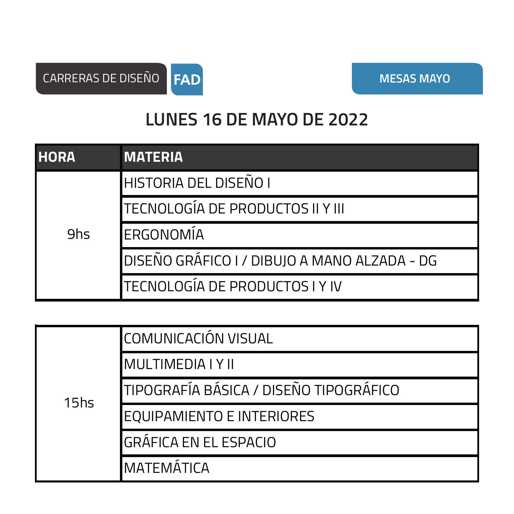

## **LUNES 16 DE MAYO DE 2022**

| <b>HORA</b> | <b>MATERIA</b>                               |
|-------------|----------------------------------------------|
| 9hs         | HISTORIA DEL DISEÑO I                        |
|             | TECNOLOGÍA DE PRODUCTOS II Y III             |
|             | ERGONOMÍA                                    |
|             | DISEÑO GRÁFICO I / DIBUJO A MANO ALZADA - DG |
|             | <b> TECNOLOGÍA DE PRODUCTOS I Y IV</b>       |

| 15 <sub>hs</sub> | COMUNICACIÓN VISUAL                    |
|------------------|----------------------------------------|
|                  | <b>MULTIMEDIA I Y II</b>               |
|                  | TIPOGRAFÍA BÁSICA / DISEÑO TIPOGRÁFICO |
|                  | <b>EQUIPAMIENTO E INTERIORES</b>       |
|                  | <b>GRÁFICA EN EL ESPACIO</b>           |
|                  | <b>MATEMÁTICA</b>                      |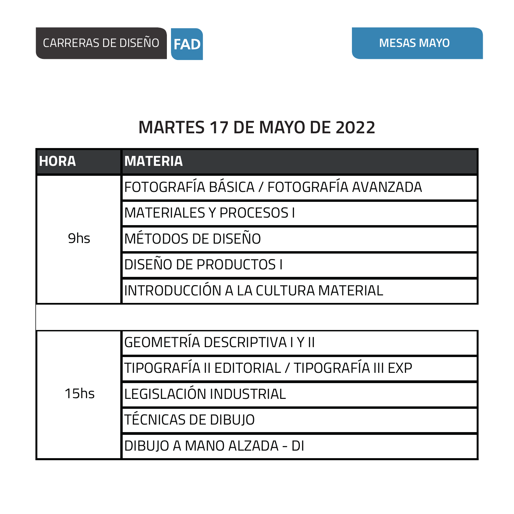## **MARTES 17 DE MAYO DE 2022**

| <b>HORA</b>      | <b>MATERIA</b>                               |
|------------------|----------------------------------------------|
| 9hs              | FOTOGRAFÍA BÁSICA / FOTOGRAFÍA AVANZADA      |
|                  | <b>MATERIALES Y PROCESOS I</b>               |
|                  | MÉTODOS DE DISEÑO                            |
|                  | <b>DISEÑO DE PRODUCTOS I</b>                 |
|                  | INTRODUCCIÓN A LA CULTURA MATERIAL           |
|                  |                                              |
| 15 <sub>hs</sub> | <b>GEOMETRÍA DESCRIPTIVA I Y II</b>          |
|                  | TIPOGRAFÍA II EDITORIAL / TIPOGRAFÍA III EXP |
|                  | LEGISLACIÓN INDUSTRIAL                       |
|                  | TÉCNICAS DE DIBUJO                           |
|                  | DIBUJO A MANO ALZADA - DI                    |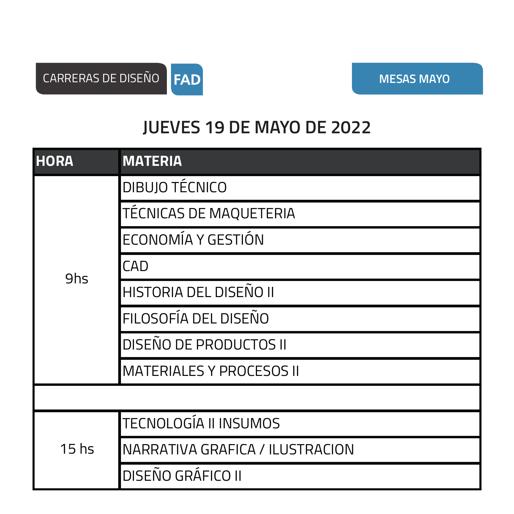

## **JUEVES 19 DE MAYO DE 2022**

| <b>HORA</b>      | <b>MATERIA</b>                  |
|------------------|---------------------------------|
| 9hs              | <b>DIBUJO TÉCNICO</b>           |
|                  | <b>TÉCNICAS DE MAQUETERIA</b>   |
|                  | ECONOMÍA Y GESTIÓN              |
|                  | <b>CAD</b>                      |
|                  | HISTORIA DEL DISEÑO II          |
|                  | FILOSOFÍA DEL DISEÑO            |
|                  | <b>DISEÑO DE PRODUCTOS II</b>   |
|                  | <b>MATERIALES Y PROCESOS II</b> |
|                  |                                 |
| 15 <sub>hs</sub> | <b>TECNOLOGÍA II INSUMOS</b>    |
|                  | NARRATIVA GRAFICA / ILUSTRACION |
|                  | DISEÑO GRÁFICO II               |